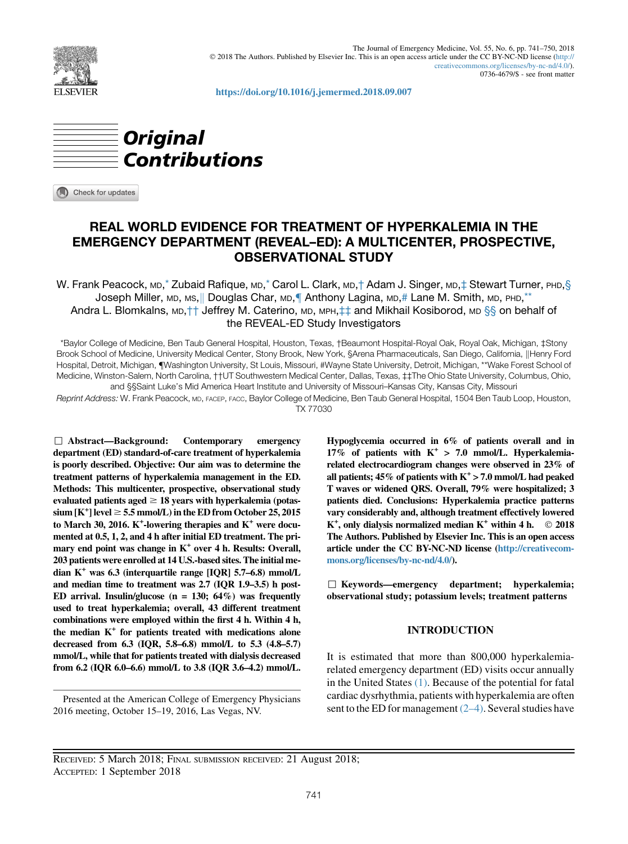

<https://doi.org/10.1016/j.jemermed.2018.09.007>



Check for updates

# REAL WORLD EVIDENCE FOR TREATMENT OF HYPERKALEMIA IN THE EMERGENCY DEPARTMENT (REVEAL–ED): A MULTICENTER, PROSPECTIVE, OBSERVATIONAL STUDY

W. Frank Peacock, MD,\* Zubaid Rafique, MD,\* Carol L. Clark, MD,† Adam J. Singer, MD,‡ Stewart Turner, PHD,§ Joseph Miller, MD, MS, Douglas Char, MD, Anthony Lagina, MD,# Lane M. Smith, MD, PHD,\*\* Andra L. Blomkalns,  $MD, ††$  Jeffrey M. Caterino, MD, MPH, $††$  and Mikhail Kosiborod, MD §§ on behalf of the REVEAL-ED Study Investigators

\*Baylor College of Medicine, Ben Taub General Hospital, Houston, Texas, †Beaumont Hospital-Royal Oak, Royal Oak, Michigan, ‡Stony Brook School of Medicine, University Medical Center, Stony Brook, New York, §Arena Pharmaceuticals, San Diego, California, ||Henry Ford Hospital, Detroit, Michigan, ¶Washington University, St Louis, Missouri, #Wayne State University, Detroit, Michigan, \*\*Wake Forest School of Medicine, Winston-Salem, North Carolina, ††UT Southwestern Medical Center, Dallas, Texas, ‡‡The Ohio State University, Columbus, Ohio, and §§Saint Luke's Mid America Heart Institute and University of Missouri–Kansas City, Kansas City, Missouri

Reprint Address: W. Frank Peacock, MD, FACEP, FACC, Baylor College of Medicine, Ben Taub General Hospital, 1504 Ben Taub Loop, Houston, TX 77030

, Abstract—Background: Contemporary emergency department (ED) standard-of-care treatment of hyperkalemia is poorly described. Objective: Our aim was to determine the treatment patterns of hyperkalemia management in the ED. Methods: This multicenter, prospective, observational study evaluated patients aged  $\geq 18$  years with hyperkalemia (potassium  $[K^+]$  level  $\geq 5.5$  mmol/L) in the ED from October 25, 2015 to March 30, 2016.  $K^+$ -lowering therapies and  $K^+$  were documented at 0.5, 1, 2, and 4 h after initial ED treatment. The primary end point was change in  $K^+$  over 4 h. Results: Overall, 203 patients were enrolled at 14 U.S.-based sites. The initial median K+ was 6.3 (interquartile range [IQR] 5.7–6.8) mmol/L and median time to treatment was 2.7 (IQR 1.9–3.5) h post-ED arrival. Insulin/glucose ( $n = 130$ ; 64%) was frequently used to treat hyperkalemia; overall, 43 different treatment combinations were employed within the first 4 h. Within 4 h, the median  $K^+$  for patients treated with medications alone decreased from 6.3 (IQR, 5.8–6.8) mmol/L to 5.3 (4.8–5.7) mmol/L, while that for patients treated with dialysis decreased from 6.2 (IQR 6.0–6.6) mmol/L to 3.8 (IQR 3.6–4.2) mmol/L.

Presented at the American College of Emergency Physicians 2016 meeting, October 15–19, 2016, Las Vegas, NV.

Hypoglycemia occurred in 6% of patients overall and in 17% of patients with  $K^+ > 7.0$  mmol/L. Hyperkalemiarelated electrocardiogram changes were observed in 23% of all patients; 45% of patients with  $K^+ > 7.0$  mmol/L had peaked T waves or widened QRS. Overall, 79% were hospitalized; 3 patients died. Conclusions: Hyperkalemia practice patterns vary considerably and, although treatment effectively lowered  $K^+$ , only dialysis normalized median  $K^+$  within 4 h.  $\circ$  2018 The Authors. Published by Elsevier Inc. This is an open access article under the CC BY-NC-ND license [\(http://creativecom](http://creativecommons.org/licenses/by-nc-nd/4.0/)[mons.org/licenses/by-nc-nd/4.0/](http://creativecommons.org/licenses/by-nc-nd/4.0/)).

 $\Box$  Keywords—emergency department; hyperkalemia; observational study; potassium levels; treatment patterns

# INTRODUCTION

It is estimated that more than 800,000 hyperkalemiarelated emergency department (ED) visits occur annually in the United States [\(1\)](#page-7-0). Because of the potential for fatal cardiac dysrhythmia, patients with hyperkalemia are often sent to the ED for management  $(2-4)$ . Several studies have

RECEIVED: 5 March 2018; FINAL SUBMISSION RECEIVED: 21 August 2018; ACCEPTED: 1 September 2018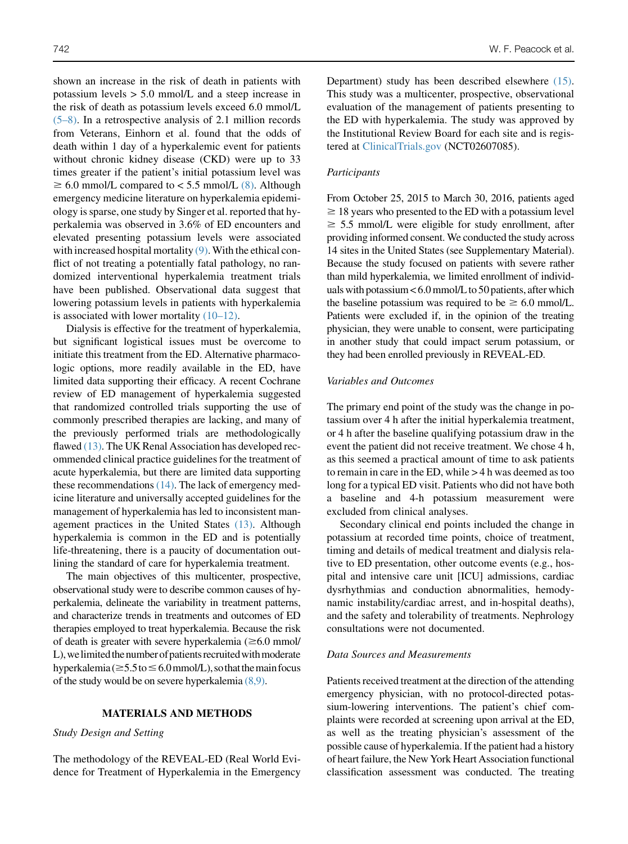shown an increase in the risk of death in patients with potassium levels > 5.0 mmol/L and a steep increase in the risk of death as potassium levels exceed 6.0 mmol/L [\(5–8\).](#page-7-0) In a retrospective analysis of 2.1 million records from Veterans, Einhorn et al. found that the odds of death within 1 day of a hyperkalemic event for patients without chronic kidney disease (CKD) were up to 33 times greater if the patient's initial potassium level was  $\geq 6.0$  mmol/L compared to < 5.5 mmol/L [\(8\)](#page-8-0). Although emergency medicine literature on hyperkalemia epidemiology is sparse, one study by Singer et al. reported that hyperkalemia was observed in 3.6% of ED encounters and elevated presenting potassium levels were associated with increased hospital mortality  $(9)$ . With the ethical conflict of not treating a potentially fatal pathology, no randomized interventional hyperkalemia treatment trials have been published. Observational data suggest that lowering potassium levels in patients with hyperkalemia is associated with lower mortality [\(10–12\).](#page-8-0)

Dialysis is effective for the treatment of hyperkalemia, but significant logistical issues must be overcome to initiate this treatment from the ED. Alternative pharmacologic options, more readily available in the ED, have limited data supporting their efficacy. A recent Cochrane review of ED management of hyperkalemia suggested that randomized controlled trials supporting the use of commonly prescribed therapies are lacking, and many of the previously performed trials are methodologically flawed [\(13\)](#page-8-0). The UK Renal Association has developed recommended clinical practice guidelines for the treatment of acute hyperkalemia, but there are limited data supporting these recommendations [\(14\).](#page-8-0) The lack of emergency medicine literature and universally accepted guidelines for the management of hyperkalemia has led to inconsistent management practices in the United States [\(13\).](#page-8-0) Although hyperkalemia is common in the ED and is potentially life-threatening, there is a paucity of documentation outlining the standard of care for hyperkalemia treatment.

The main objectives of this multicenter, prospective, observational study were to describe common causes of hyperkalemia, delineate the variability in treatment patterns, and characterize trends in treatments and outcomes of ED therapies employed to treat hyperkalemia. Because the risk of death is greater with severe hyperkalemia  $(\geq 6.0 \text{ mmol})$ L), we limited the number of patients recruited with moderate hyperkalemia ( $\geq$ 5.5to  $\leq$  6.0 mmol/L), so that the main focus of the study would be on severe hyperkalemia [\(8,9\).](#page-8-0)

#### MATERIALS AND METHODS

### Study Design and Setting

The methodology of the REVEAL-ED (Real World Evidence for Treatment of Hyperkalemia in the Emergency Department) study has been described elsewhere [\(15\).](#page-8-0) This study was a multicenter, prospective, observational evaluation of the management of patients presenting to the ED with hyperkalemia. The study was approved by the Institutional Review Board for each site and is registered at [ClinicalTrials.gov](http://ClinicalTrials.gov) (NCT02607085).

#### Participants

From October 25, 2015 to March 30, 2016, patients aged  $\geq$  18 years who presented to the ED with a potassium level  $\geq$  5.5 mmol/L were eligible for study enrollment, after providing informed consent. We conducted the study across 14 sites in the United States (see Supplementary Material). Because the study focused on patients with severe rather than mild hyperkalemia, we limited enrollment of individuals with potassium  $< 6.0$  mmol/L to 50 patients, after which the baseline potassium was required to be  $\geq 6.0$  mmol/L. Patients were excluded if, in the opinion of the treating physician, they were unable to consent, were participating in another study that could impact serum potassium, or they had been enrolled previously in REVEAL-ED.

### Variables and Outcomes

The primary end point of the study was the change in potassium over 4 h after the initial hyperkalemia treatment, or 4 h after the baseline qualifying potassium draw in the event the patient did not receive treatment. We chose 4 h, as this seemed a practical amount of time to ask patients to remain in care in the ED, while > 4 h was deemed as too long for a typical ED visit. Patients who did not have both a baseline and 4-h potassium measurement were excluded from clinical analyses.

Secondary clinical end points included the change in potassium at recorded time points, choice of treatment, timing and details of medical treatment and dialysis relative to ED presentation, other outcome events (e.g., hospital and intensive care unit [ICU] admissions, cardiac dysrhythmias and conduction abnormalities, hemodynamic instability/cardiac arrest, and in-hospital deaths), and the safety and tolerability of treatments. Nephrology consultations were not documented.

#### Data Sources and Measurements

Patients received treatment at the direction of the attending emergency physician, with no protocol-directed potassium-lowering interventions. The patient's chief complaints were recorded at screening upon arrival at the ED, as well as the treating physician's assessment of the possible cause of hyperkalemia. If the patient had a history of heart failure, the New York Heart Association functional classification assessment was conducted. The treating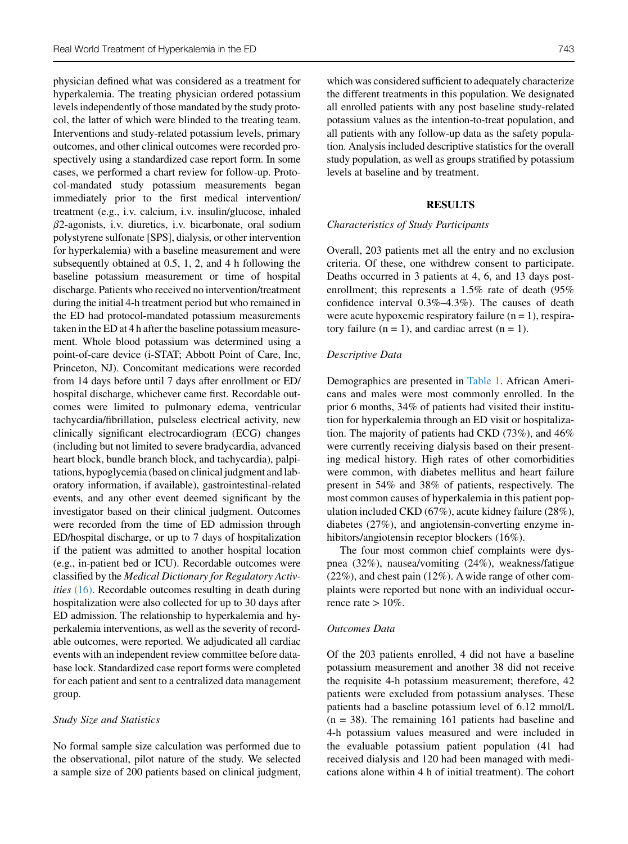physician defined what was considered as a treatment for hyperkalemia. The treating physician ordered potassium levels independently of those mandated by the study protocol, the latter of which were blinded to the treating team. Interventions and study-related potassium levels, primary outcomes, and other clinical outcomes were recorded prospectively using a standardized case report form. In some cases, we performed a chart review for follow-up. Protocol-mandated study potassium measurements began immediately prior to the first medical intervention/ treatment (e.g., i.v. calcium, i.v. insulin/glucose, inhaled  $\beta$ 2-agonists, i.v. diuretics, i.v. bicarbonate, oral sodium polystyrene sulfonate [SPS], dialysis, or other intervention for hyperkalemia) with a baseline measurement and were subsequently obtained at 0.5, 1, 2, and 4 h following the baseline potassium measurement or time of hospital discharge. Patients who received no intervention/treatment during the initial 4-h treatment period but who remained in the ED had protocol-mandated potassium measurements taken in the ED at 4 h after the baseline potassium measurement. Whole blood potassium was determined using a point-of-care device (i-STAT; Abbott Point of Care, Inc, Princeton, NJ). Concomitant medications were recorded from 14 days before until 7 days after enrollment or ED/ hospital discharge, whichever came first. Recordable outcomes were limited to pulmonary edema, ventricular tachycardia/fibrillation, pulseless electrical activity, new clinically significant electrocardiogram (ECG) changes (including but not limited to severe bradycardia, advanced heart block, bundle branch block, and tachycardia), palpitations, hypoglycemia (based on clinical judgment and laboratory information, if available), gastrointestinal-related events, and any other event deemed significant by the investigator based on their clinical judgment. Outcomes were recorded from the time of ED admission through ED/hospital discharge, or up to 7 days of hospitalization if the patient was admitted to another hospital location (e.g., in-patient bed or ICU). Recordable outcomes were classified by the Medical Dictionary for Regulatory Activities [\(16\)](#page-8-0). Recordable outcomes resulting in death during hospitalization were also collected for up to 30 days after ED admission. The relationship to hyperkalemia and hyperkalemia interventions, as well as the severity of recordable outcomes, were reported. We adjudicated all cardiac events with an independent review committee before database lock. Standardized case report forms were completed for each patient and sent to a centralized data management group.

#### Study Size and Statistics

No formal sample size calculation was performed due to the observational, pilot nature of the study. We selected a sample size of 200 patients based on clinical judgment, which was considered sufficient to adequately characterize the different treatments in this population. We designated all enrolled patients with any post baseline study-related potassium values as the intention-to-treat population, and all patients with any follow-up data as the safety population. Analysis included descriptive statistics for the overall study population, as well as groups stratified by potassium levels at baseline and by treatment.

### RESULTS

#### Characteristics of Study Participants

Overall, 203 patients met all the entry and no exclusion criteria. Of these, one withdrew consent to participate. Deaths occurred in 3 patients at 4, 6, and 13 days postenrollment; this represents a 1.5% rate of death (95% confidence interval 0.3%–4.3%). The causes of death were acute hypoxemic respiratory failure  $(n = 1)$ , respiratory failure  $(n = 1)$ , and cardiac arrest  $(n = 1)$ .

#### Descriptive Data

Demographics are presented in [Table 1](#page-3-0). African Americans and males were most commonly enrolled. In the prior 6 months, 34% of patients had visited their institution for hyperkalemia through an ED visit or hospitalization. The majority of patients had CKD (73%), and 46% were currently receiving dialysis based on their presenting medical history. High rates of other comorbidities were common, with diabetes mellitus and heart failure present in 54% and 38% of patients, respectively. The most common causes of hyperkalemia in this patient population included CKD (67%), acute kidney failure (28%), diabetes (27%), and angiotensin-converting enzyme inhibitors/angiotensin receptor blockers (16%).

The four most common chief complaints were dyspnea (32%), nausea/vomiting (24%), weakness/fatigue (22%), and chest pain (12%). A wide range of other complaints were reported but none with an individual occurrence rate  $> 10\%$ .

# Outcomes Data

Of the 203 patients enrolled, 4 did not have a baseline potassium measurement and another 38 did not receive the requisite 4-h potassium measurement; therefore, 42 patients were excluded from potassium analyses. These patients had a baseline potassium level of 6.12 mmol/L  $(n = 38)$ . The remaining 161 patients had baseline and 4-h potassium values measured and were included in the evaluable potassium patient population (41 had received dialysis and 120 had been managed with medications alone within 4 h of initial treatment). The cohort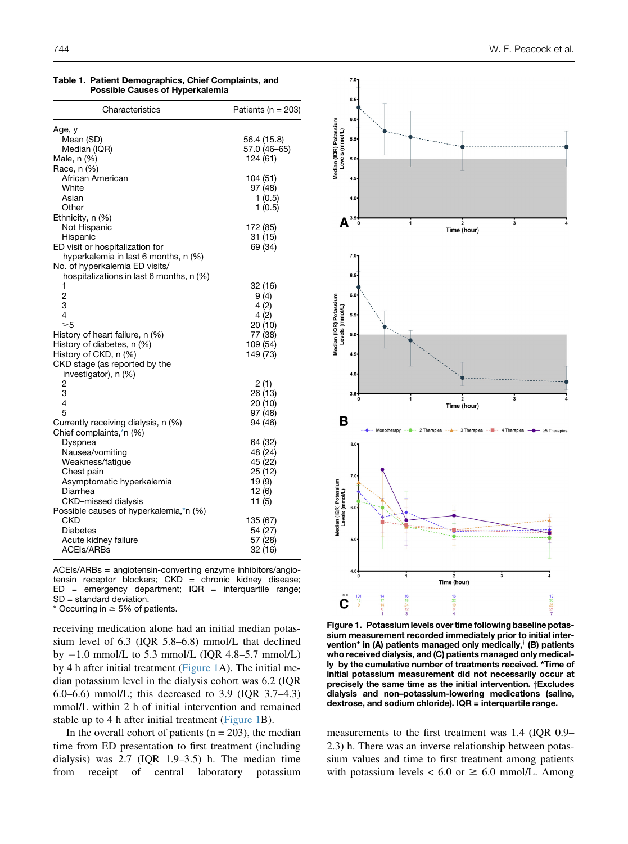| Mean (SD)<br>56.4 (15.8)<br>Median (IQR)<br>57.0 (46-65)<br>124 (61)<br>Male, n (%)<br>Race, n (%)<br>African American<br>104 (51)<br>97 (48)<br>White<br>1(0.5)<br>Asian<br>Other<br>1(0.5)<br>Ethnicity, n (%)<br>Not Hispanic<br>172 (85)<br>Hispanic<br>31 (15)<br>ED visit or hospitalization for<br>69 (34)<br>hyperkalemia in last 6 months, n (%)<br>No. of hyperkalemia ED visits/<br>hospitalizations in last 6 months, n (%)<br>1<br>32 (16)<br>$\overline{c}$<br>9(4)<br>3<br>4(2)<br>4<br>4(2)<br>$\geq 5$<br>20(10)<br>77 (38)<br>History of heart failure, n (%)<br>History of diabetes, n (%)<br>109 (54)<br>History of CKD, n (%)<br>149 (73)<br>CKD stage (as reported by the<br>investigator), n (%)<br>2<br>2(1)<br>3<br>26 (13)<br>4<br>20 (10)<br>5<br>97 (48)<br>Currently receiving dialysis, n (%)<br>94 (46)<br>Chief complaints,*n (%)<br>Dyspnea<br>64 (32)<br>48 (24)<br>Nausea/vomiting<br>Weakness/fatigue<br>45 (22)<br>25 (12)<br>Chest pain<br>19(9)<br>Asymptomatic hyperkalemia<br>12(6)<br>Diarrhea<br>11(5)<br>CKD-missed dialysis<br>Possible causes of hyperkalemia,*n (%)<br>CKD<br>135 (67)<br>54 (27)<br>Diabetes<br>57 (28)<br>Acute kidney failure<br>ACEIs/ARBs<br>32 (16) | Characteristics | Patients ( $n = 203$ ) |
|--------------------------------------------------------------------------------------------------------------------------------------------------------------------------------------------------------------------------------------------------------------------------------------------------------------------------------------------------------------------------------------------------------------------------------------------------------------------------------------------------------------------------------------------------------------------------------------------------------------------------------------------------------------------------------------------------------------------------------------------------------------------------------------------------------------------------------------------------------------------------------------------------------------------------------------------------------------------------------------------------------------------------------------------------------------------------------------------------------------------------------------------------------------------------------------------------------------------------|-----------------|------------------------|
|                                                                                                                                                                                                                                                                                                                                                                                                                                                                                                                                                                                                                                                                                                                                                                                                                                                                                                                                                                                                                                                                                                                                                                                                                          | Age, y          |                        |
|                                                                                                                                                                                                                                                                                                                                                                                                                                                                                                                                                                                                                                                                                                                                                                                                                                                                                                                                                                                                                                                                                                                                                                                                                          |                 |                        |
|                                                                                                                                                                                                                                                                                                                                                                                                                                                                                                                                                                                                                                                                                                                                                                                                                                                                                                                                                                                                                                                                                                                                                                                                                          |                 |                        |
|                                                                                                                                                                                                                                                                                                                                                                                                                                                                                                                                                                                                                                                                                                                                                                                                                                                                                                                                                                                                                                                                                                                                                                                                                          |                 |                        |
|                                                                                                                                                                                                                                                                                                                                                                                                                                                                                                                                                                                                                                                                                                                                                                                                                                                                                                                                                                                                                                                                                                                                                                                                                          |                 |                        |
|                                                                                                                                                                                                                                                                                                                                                                                                                                                                                                                                                                                                                                                                                                                                                                                                                                                                                                                                                                                                                                                                                                                                                                                                                          |                 |                        |
|                                                                                                                                                                                                                                                                                                                                                                                                                                                                                                                                                                                                                                                                                                                                                                                                                                                                                                                                                                                                                                                                                                                                                                                                                          |                 |                        |
|                                                                                                                                                                                                                                                                                                                                                                                                                                                                                                                                                                                                                                                                                                                                                                                                                                                                                                                                                                                                                                                                                                                                                                                                                          |                 |                        |
|                                                                                                                                                                                                                                                                                                                                                                                                                                                                                                                                                                                                                                                                                                                                                                                                                                                                                                                                                                                                                                                                                                                                                                                                                          |                 |                        |
|                                                                                                                                                                                                                                                                                                                                                                                                                                                                                                                                                                                                                                                                                                                                                                                                                                                                                                                                                                                                                                                                                                                                                                                                                          |                 |                        |
|                                                                                                                                                                                                                                                                                                                                                                                                                                                                                                                                                                                                                                                                                                                                                                                                                                                                                                                                                                                                                                                                                                                                                                                                                          |                 |                        |
|                                                                                                                                                                                                                                                                                                                                                                                                                                                                                                                                                                                                                                                                                                                                                                                                                                                                                                                                                                                                                                                                                                                                                                                                                          |                 |                        |
|                                                                                                                                                                                                                                                                                                                                                                                                                                                                                                                                                                                                                                                                                                                                                                                                                                                                                                                                                                                                                                                                                                                                                                                                                          |                 |                        |
|                                                                                                                                                                                                                                                                                                                                                                                                                                                                                                                                                                                                                                                                                                                                                                                                                                                                                                                                                                                                                                                                                                                                                                                                                          |                 |                        |
|                                                                                                                                                                                                                                                                                                                                                                                                                                                                                                                                                                                                                                                                                                                                                                                                                                                                                                                                                                                                                                                                                                                                                                                                                          |                 |                        |
|                                                                                                                                                                                                                                                                                                                                                                                                                                                                                                                                                                                                                                                                                                                                                                                                                                                                                                                                                                                                                                                                                                                                                                                                                          |                 |                        |
|                                                                                                                                                                                                                                                                                                                                                                                                                                                                                                                                                                                                                                                                                                                                                                                                                                                                                                                                                                                                                                                                                                                                                                                                                          |                 |                        |
|                                                                                                                                                                                                                                                                                                                                                                                                                                                                                                                                                                                                                                                                                                                                                                                                                                                                                                                                                                                                                                                                                                                                                                                                                          |                 |                        |
|                                                                                                                                                                                                                                                                                                                                                                                                                                                                                                                                                                                                                                                                                                                                                                                                                                                                                                                                                                                                                                                                                                                                                                                                                          |                 |                        |
|                                                                                                                                                                                                                                                                                                                                                                                                                                                                                                                                                                                                                                                                                                                                                                                                                                                                                                                                                                                                                                                                                                                                                                                                                          |                 |                        |
|                                                                                                                                                                                                                                                                                                                                                                                                                                                                                                                                                                                                                                                                                                                                                                                                                                                                                                                                                                                                                                                                                                                                                                                                                          |                 |                        |
|                                                                                                                                                                                                                                                                                                                                                                                                                                                                                                                                                                                                                                                                                                                                                                                                                                                                                                                                                                                                                                                                                                                                                                                                                          |                 |                        |
|                                                                                                                                                                                                                                                                                                                                                                                                                                                                                                                                                                                                                                                                                                                                                                                                                                                                                                                                                                                                                                                                                                                                                                                                                          |                 |                        |
|                                                                                                                                                                                                                                                                                                                                                                                                                                                                                                                                                                                                                                                                                                                                                                                                                                                                                                                                                                                                                                                                                                                                                                                                                          |                 |                        |
|                                                                                                                                                                                                                                                                                                                                                                                                                                                                                                                                                                                                                                                                                                                                                                                                                                                                                                                                                                                                                                                                                                                                                                                                                          |                 |                        |
|                                                                                                                                                                                                                                                                                                                                                                                                                                                                                                                                                                                                                                                                                                                                                                                                                                                                                                                                                                                                                                                                                                                                                                                                                          |                 |                        |
|                                                                                                                                                                                                                                                                                                                                                                                                                                                                                                                                                                                                                                                                                                                                                                                                                                                                                                                                                                                                                                                                                                                                                                                                                          |                 |                        |
|                                                                                                                                                                                                                                                                                                                                                                                                                                                                                                                                                                                                                                                                                                                                                                                                                                                                                                                                                                                                                                                                                                                                                                                                                          |                 |                        |
|                                                                                                                                                                                                                                                                                                                                                                                                                                                                                                                                                                                                                                                                                                                                                                                                                                                                                                                                                                                                                                                                                                                                                                                                                          |                 |                        |
|                                                                                                                                                                                                                                                                                                                                                                                                                                                                                                                                                                                                                                                                                                                                                                                                                                                                                                                                                                                                                                                                                                                                                                                                                          |                 |                        |
|                                                                                                                                                                                                                                                                                                                                                                                                                                                                                                                                                                                                                                                                                                                                                                                                                                                                                                                                                                                                                                                                                                                                                                                                                          |                 |                        |
|                                                                                                                                                                                                                                                                                                                                                                                                                                                                                                                                                                                                                                                                                                                                                                                                                                                                                                                                                                                                                                                                                                                                                                                                                          |                 |                        |
|                                                                                                                                                                                                                                                                                                                                                                                                                                                                                                                                                                                                                                                                                                                                                                                                                                                                                                                                                                                                                                                                                                                                                                                                                          |                 |                        |
|                                                                                                                                                                                                                                                                                                                                                                                                                                                                                                                                                                                                                                                                                                                                                                                                                                                                                                                                                                                                                                                                                                                                                                                                                          |                 |                        |
|                                                                                                                                                                                                                                                                                                                                                                                                                                                                                                                                                                                                                                                                                                                                                                                                                                                                                                                                                                                                                                                                                                                                                                                                                          |                 |                        |
|                                                                                                                                                                                                                                                                                                                                                                                                                                                                                                                                                                                                                                                                                                                                                                                                                                                                                                                                                                                                                                                                                                                                                                                                                          |                 |                        |
|                                                                                                                                                                                                                                                                                                                                                                                                                                                                                                                                                                                                                                                                                                                                                                                                                                                                                                                                                                                                                                                                                                                                                                                                                          |                 |                        |
|                                                                                                                                                                                                                                                                                                                                                                                                                                                                                                                                                                                                                                                                                                                                                                                                                                                                                                                                                                                                                                                                                                                                                                                                                          |                 |                        |
|                                                                                                                                                                                                                                                                                                                                                                                                                                                                                                                                                                                                                                                                                                                                                                                                                                                                                                                                                                                                                                                                                                                                                                                                                          |                 |                        |
|                                                                                                                                                                                                                                                                                                                                                                                                                                                                                                                                                                                                                                                                                                                                                                                                                                                                                                                                                                                                                                                                                                                                                                                                                          |                 |                        |
|                                                                                                                                                                                                                                                                                                                                                                                                                                                                                                                                                                                                                                                                                                                                                                                                                                                                                                                                                                                                                                                                                                                                                                                                                          |                 |                        |
|                                                                                                                                                                                                                                                                                                                                                                                                                                                                                                                                                                                                                                                                                                                                                                                                                                                                                                                                                                                                                                                                                                                                                                                                                          |                 |                        |
|                                                                                                                                                                                                                                                                                                                                                                                                                                                                                                                                                                                                                                                                                                                                                                                                                                                                                                                                                                                                                                                                                                                                                                                                                          |                 |                        |

<span id="page-3-0"></span>Table 1. Patient Demographics, Chief Complaints, and Possible Causes of Hyperkalemia

ACEIs/ARBs = angiotensin-converting enzyme inhibitors/angiotensin receptor blockers;  $CKD =$  chronic kidney disease;  $ED =$  emergency department;  $IQR =$  interquartile range; SD = standard deviation.

 $*$  Occurring in  $\geq 5\%$  of patients.

receiving medication alone had an initial median potassium level of 6.3 (IQR 5.8–6.8) mmol/L that declined by -1.0 mmol/L to 5.3 mmol/L (IQR 4.8–5.7 mmol/L) by 4 h after initial treatment (Figure 1A). The initial median potassium level in the dialysis cohort was 6.2 (IQR 6.0–6.6) mmol/L; this decreased to 3.9 (IQR 3.7–4.3) mmol/L within 2 h of initial intervention and remained stable up to 4 h after initial treatment (Figure 1B).

In the overall cohort of patients  $(n = 203)$ , the median time from ED presentation to first treatment (including dialysis) was 2.7 (IQR 1.9–3.5) h. The median time from receipt of central laboratory potassium



Figure 1. Potassium levels over time following baseline potassium measurement recorded immediately prior to initial intervention\* in (A) patients managed only medically,<sup> $\dagger$ </sup> (B) patients who received dialysis, and (C) patients managed only medical- $Iy^{\dagger}$  by the cumulative number of treatments received. \*Time of initial potassium measurement did not necessarily occur at precisely the same time as the initial intervention.  $\dagger$ Excludes dialysis and non–potassium-lowering medications (saline, dextrose, and sodium chloride). IQR = interquartile range.

measurements to the first treatment was 1.4 (IQR 0.9– 2.3) h. There was an inverse relationship between potassium values and time to first treatment among patients with potassium levels  $< 6.0$  or  $\geq 6.0$  mmol/L. Among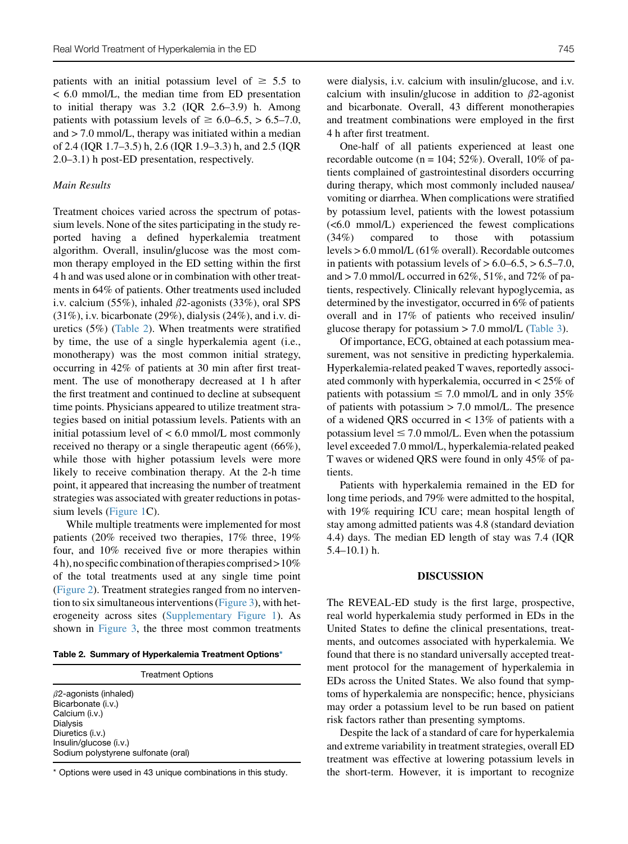patients with an initial potassium level of  $\geq 5.5$  to < 6.0 mmol/L, the median time from ED presentation to initial therapy was 3.2 (IQR 2.6–3.9) h. Among patients with potassium levels of  $\geq 6.0-6.5, \geq 6.5-7.0$ , and  $>$  7.0 mmol/L, therapy was initiated within a median of 2.4 (IQR 1.7–3.5) h, 2.6 (IQR 1.9–3.3) h, and 2.5 (IQR 2.0–3.1) h post-ED presentation, respectively.

### Main Results

Treatment choices varied across the spectrum of potassium levels. None of the sites participating in the study reported having a defined hyperkalemia treatment algorithm. Overall, insulin/glucose was the most common therapy employed in the ED setting within the first 4 h and was used alone or in combination with other treatments in 64% of patients. Other treatments used included i.v. calcium (55%), inhaled  $\beta$ 2-agonists (33%), oral SPS (31%), i.v. bicarbonate (29%), dialysis (24%), and i.v. diuretics (5%) (Table 2). When treatments were stratified by time, the use of a single hyperkalemia agent (i.e., monotherapy) was the most common initial strategy, occurring in 42% of patients at 30 min after first treatment. The use of monotherapy decreased at 1 h after the first treatment and continued to decline at subsequent time points. Physicians appeared to utilize treatment strategies based on initial potassium levels. Patients with an initial potassium level of < 6.0 mmol/L most commonly received no therapy or a single therapeutic agent (66%), while those with higher potassium levels were more likely to receive combination therapy. At the 2-h time point, it appeared that increasing the number of treatment strategies was associated with greater reductions in potassium levels [\(Figure 1](#page-3-0)C).

While multiple treatments were implemented for most patients (20% received two therapies, 17% three, 19% four, and 10% received five or more therapies within 4 h), no specific combination of therapies comprised  $> 10\%$ of the total treatments used at any single time point [\(Figure 2](#page-5-0)). Treatment strategies ranged from no intervention to six simultaneous interventions ([Figure 3](#page-5-0)), with heterogeneity across sites [\(Supplementary Figure 1](#page-7-0)). As shown in [Figure 3](#page-5-0), the three most common treatments

Table 2. Summary of Hyperkalemia Treatment Options\*

| <b>Treatment Options</b>                                                                                                                                              |  |
|-----------------------------------------------------------------------------------------------------------------------------------------------------------------------|--|
| $\beta$ 2-agonists (inhaled)<br>Bicarbonate (i.v.)<br>Calcium (i.v.)<br>Dialysis<br>Diuretics (i.v.)<br>Insulin/glucose (i.v.)<br>Sodium polystyrene sulfonate (oral) |  |

\* Options were used in 43 unique combinations in this study.

were dialysis, i.v. calcium with insulin/glucose, and i.v. calcium with insulin/glucose in addition to  $\beta$ 2-agonist and bicarbonate. Overall, 43 different monotherapies and treatment combinations were employed in the first 4 h after first treatment.

One-half of all patients experienced at least one recordable outcome ( $n = 104$ ; 52%). Overall, 10% of patients complained of gastrointestinal disorders occurring during therapy, which most commonly included nausea/ vomiting or diarrhea. When complications were stratified by potassium level, patients with the lowest potassium (<6.0 mmol/L) experienced the fewest complications (34%) compared to those with potassium levels > 6.0 mmol/L (61% overall). Recordable outcomes in patients with potassium levels of  $> 6.0-6.5, > 6.5-7.0$ , and  $>$  7.0 mmol/L occurred in 62%, 51%, and 72% of patients, respectively. Clinically relevant hypoglycemia, as determined by the investigator, occurred in 6% of patients overall and in 17% of patients who received insulin/ glucose therapy for potassium  $> 7.0$  mmol/L [\(Table 3\)](#page-6-0).

Of importance, ECG, obtained at each potassium measurement, was not sensitive in predicting hyperkalemia. Hyperkalemia-related peaked T waves, reportedly associated commonly with hyperkalemia, occurred in < 25% of patients with potassium  $\leq 7.0$  mmol/L and in only 35% of patients with potassium  $> 7.0$  mmol/L. The presence of a widened QRS occurred in < 13% of patients with a potassium level  $\leq 7.0$  mmol/L. Even when the potassium level exceeded 7.0 mmol/L, hyperkalemia-related peaked T waves or widened QRS were found in only 45% of patients.

Patients with hyperkalemia remained in the ED for long time periods, and 79% were admitted to the hospital, with 19% requiring ICU care; mean hospital length of stay among admitted patients was 4.8 (standard deviation 4.4) days. The median ED length of stay was 7.4 (IQR 5.4–10.1) h.

#### DISCUSSION

The REVEAL-ED study is the first large, prospective, real world hyperkalemia study performed in EDs in the United States to define the clinical presentations, treatments, and outcomes associated with hyperkalemia. We found that there is no standard universally accepted treatment protocol for the management of hyperkalemia in EDs across the United States. We also found that symptoms of hyperkalemia are nonspecific; hence, physicians may order a potassium level to be run based on patient risk factors rather than presenting symptoms.

Despite the lack of a standard of care for hyperkalemia and extreme variability in treatment strategies, overall ED treatment was effective at lowering potassium levels in the short-term. However, it is important to recognize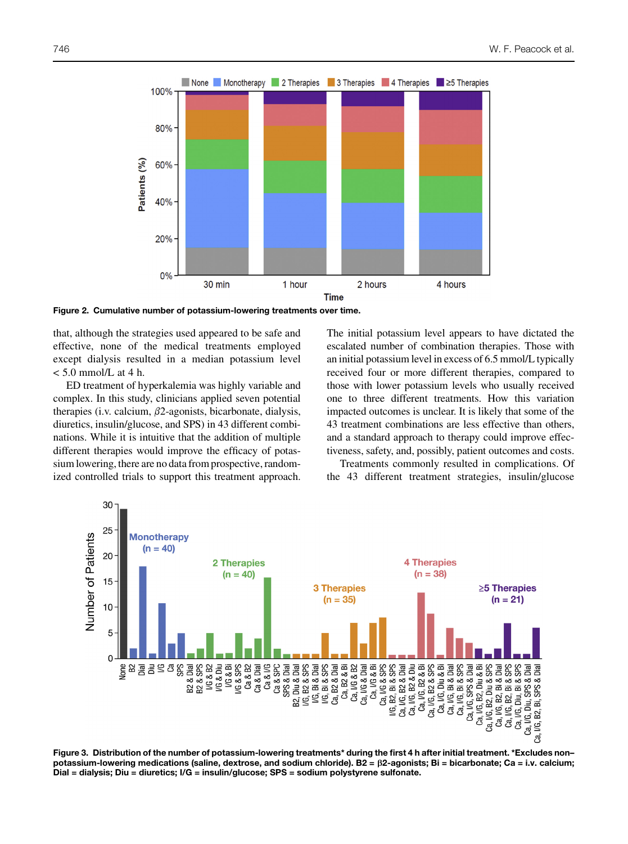<span id="page-5-0"></span>

Figure 2. Cumulative number of potassium-lowering treatments over time.

that, although the strategies used appeared to be safe and effective, none of the medical treatments employed except dialysis resulted in a median potassium level  $< 5.0$  mmol/L at 4 h.

ED treatment of hyperkalemia was highly variable and complex. In this study, clinicians applied seven potential therapies (i.v. calcium,  $\beta$ 2-agonists, bicarbonate, dialysis, diuretics, insulin/glucose, and SPS) in 43 different combinations. While it is intuitive that the addition of multiple different therapies would improve the efficacy of potassium lowering, there are no data from prospective, randomized controlled trials to support this treatment approach. The initial potassium level appears to have dictated the escalated number of combination therapies. Those with an initial potassium level in excess of 6.5 mmol/L typically received four or more different therapies, compared to those with lower potassium levels who usually received one to three different treatments. How this variation impacted outcomes is unclear. It is likely that some of the 43 treatment combinations are less effective than others, and a standard approach to therapy could improve effectiveness, safety, and, possibly, patient outcomes and costs.

Treatments commonly resulted in complications. Of the 43 different treatment strategies, insulin/glucose



Figure 3. Distribution of the number of potassium-lowering treatments\* during the first 4 h after initial treatment. \*Excludes non– potassium-lowering medications (saline, dextrose, and sodium chloride). B2 =  $\beta$ 2-agonists; Bi = bicarbonate; Ca = i.v. calcium; Dial = dialysis; Diu = diuretics; I/G = insulin/glucose; SPS = sodium polystyrene sulfonate.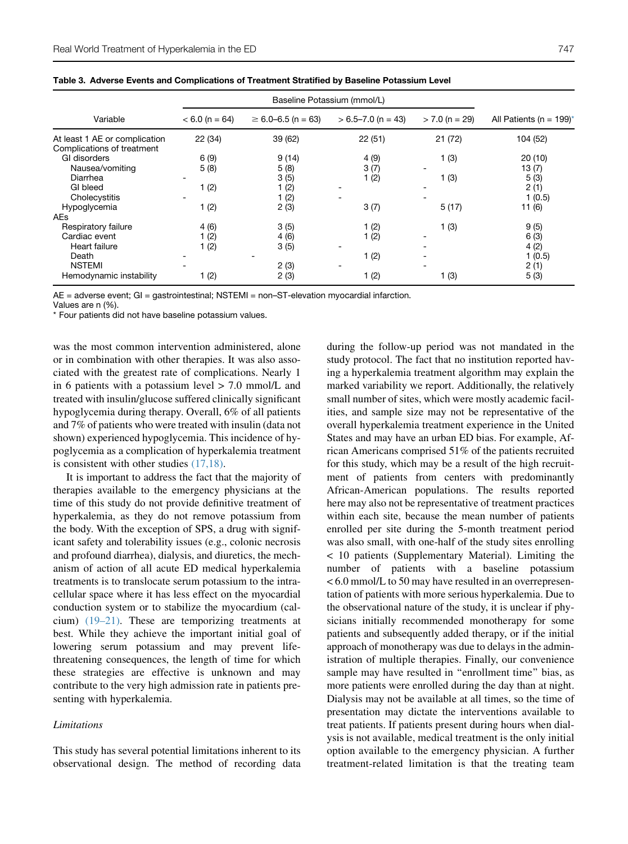| Variable                                                    |                  |                           |                        |                  |                         |
|-------------------------------------------------------------|------------------|---------------------------|------------------------|------------------|-------------------------|
|                                                             | $< 6.0$ (n = 64) | $\geq 6.0 - 6.5$ (n = 63) | $> 6.5 - 7.0$ (n = 43) | $> 7.0$ (n = 29) | All Patients (n = 199)* |
| At least 1 AE or complication<br>Complications of treatment | 22 (34)          | 39 (62)                   | 22(51)                 | 21(72)           | 104 (52)                |
| GI disorders<br>Nausea/vomiting                             | 6(9)<br>5(8)     | 9(14)<br>5(8)             | 4(9)<br>3(7)           | 1(3)             | 20(10)<br>13(7)         |
| Diarrhea<br>GI bleed                                        | 1(2)             | 3(5)<br>1(2)              | 1(2)                   | 1(3)             | 5(3)<br>2(1)            |
| Cholecystitis<br>Hypoglycemia<br>AEs                        | (2)              | 1 (2)<br>2(3)             | 3(7)                   | 5(17)            | 1(0.5)<br>11 (6)        |
| Respiratory failure<br>Cardiac event                        | 4(6)<br>1 (2)    | 3(5)<br>4(6)              | 1 (2)<br>1(2)          | 1 (3)            | 9(5)<br>6(3)            |
| Heart failure<br>Death<br><b>NSTEMI</b>                     | (2)              | 3(5)<br>2(3)              | 1 (2)                  |                  | 4(2)<br>1(0.5)<br>2(1)  |
| Hemodynamic instability                                     | 1 (2)            | 2(3)                      | 1 (2)                  | 1 (3)            | 5(3)                    |

<span id="page-6-0"></span>Table 3. Adverse Events and Complications of Treatment Stratified by Baseline Potassium Level

AE = adverse event; GI = gastrointestinal; NSTEMI = non–ST-elevation myocardial infarction.

Values are n (%).

\* Four patients did not have baseline potassium values.

was the most common intervention administered, alone or in combination with other therapies. It was also associated with the greatest rate of complications. Nearly 1 in 6 patients with a potassium level  $> 7.0$  mmol/L and treated with insulin/glucose suffered clinically significant hypoglycemia during therapy. Overall, 6% of all patients and 7% of patients who were treated with insulin (data not shown) experienced hypoglycemia. This incidence of hypoglycemia as a complication of hyperkalemia treatment is consistent with other studies [\(17,18\).](#page-8-0)

It is important to address the fact that the majority of therapies available to the emergency physicians at the time of this study do not provide definitive treatment of hyperkalemia, as they do not remove potassium from the body. With the exception of SPS, a drug with significant safety and tolerability issues (e.g., colonic necrosis and profound diarrhea), dialysis, and diuretics, the mechanism of action of all acute ED medical hyperkalemia treatments is to translocate serum potassium to the intracellular space where it has less effect on the myocardial conduction system or to stabilize the myocardium (calcium) [\(19–21\).](#page-8-0) These are temporizing treatments at best. While they achieve the important initial goal of lowering serum potassium and may prevent lifethreatening consequences, the length of time for which these strategies are effective is unknown and may contribute to the very high admission rate in patients presenting with hyperkalemia.

#### Limitations

This study has several potential limitations inherent to its observational design. The method of recording data during the follow-up period was not mandated in the study protocol. The fact that no institution reported having a hyperkalemia treatment algorithm may explain the marked variability we report. Additionally, the relatively small number of sites, which were mostly academic facilities, and sample size may not be representative of the overall hyperkalemia treatment experience in the United States and may have an urban ED bias. For example, African Americans comprised 51% of the patients recruited for this study, which may be a result of the high recruitment of patients from centers with predominantly African-American populations. The results reported here may also not be representative of treatment practices within each site, because the mean number of patients enrolled per site during the 5-month treatment period was also small, with one-half of the study sites enrolling < 10 patients (Supplementary Material). Limiting the number of patients with a baseline potassium < 6.0 mmol/L to 50 may have resulted in an overrepresentation of patients with more serious hyperkalemia. Due to the observational nature of the study, it is unclear if physicians initially recommended monotherapy for some patients and subsequently added therapy, or if the initial approach of monotherapy was due to delays in the administration of multiple therapies. Finally, our convenience sample may have resulted in "enrollment time" bias, as more patients were enrolled during the day than at night. Dialysis may not be available at all times, so the time of presentation may dictate the interventions available to treat patients. If patients present during hours when dialysis is not available, medical treatment is the only initial option available to the emergency physician. A further treatment-related limitation is that the treating team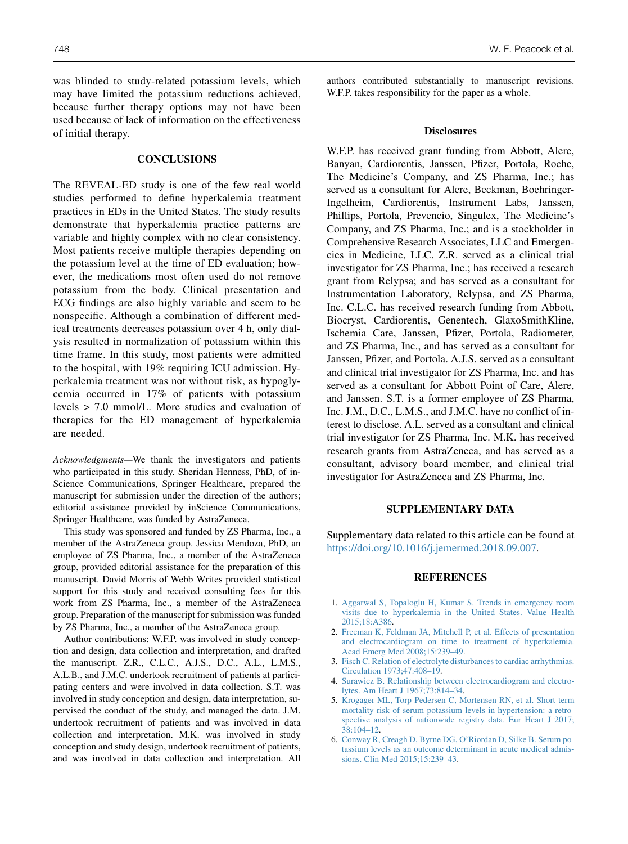<span id="page-7-0"></span>was blinded to study-related potassium levels, which may have limited the potassium reductions achieved, because further therapy options may not have been used because of lack of information on the effectiveness of initial therapy.

#### **CONCLUSIONS**

The REVEAL-ED study is one of the few real world studies performed to define hyperkalemia treatment practices in EDs in the United States. The study results demonstrate that hyperkalemia practice patterns are variable and highly complex with no clear consistency. Most patients receive multiple therapies depending on the potassium level at the time of ED evaluation; however, the medications most often used do not remove potassium from the body. Clinical presentation and ECG findings are also highly variable and seem to be nonspecific. Although a combination of different medical treatments decreases potassium over 4 h, only dialysis resulted in normalization of potassium within this time frame. In this study, most patients were admitted to the hospital, with 19% requiring ICU admission. Hyperkalemia treatment was not without risk, as hypoglycemia occurred in 17% of patients with potassium levels > 7.0 mmol/L. More studies and evaluation of therapies for the ED management of hyperkalemia are needed.

Acknowledgments—We thank the investigators and patients who participated in this study. Sheridan Henness, PhD, of in-Science Communications, Springer Healthcare, prepared the manuscript for submission under the direction of the authors; editorial assistance provided by inScience Communications, Springer Healthcare, was funded by AstraZeneca.

This study was sponsored and funded by ZS Pharma, Inc., a member of the AstraZeneca group. Jessica Mendoza, PhD, an employee of ZS Pharma, Inc., a member of the AstraZeneca group, provided editorial assistance for the preparation of this manuscript. David Morris of Webb Writes provided statistical support for this study and received consulting fees for this work from ZS Pharma, Inc., a member of the AstraZeneca group. Preparation of the manuscript for submission was funded by ZS Pharma, Inc., a member of the AstraZeneca group.

Author contributions: W.F.P. was involved in study conception and design, data collection and interpretation, and drafted the manuscript. Z.R., C.L.C., A.J.S., D.C., A.L., L.M.S., A.L.B., and J.M.C. undertook recruitment of patients at participating centers and were involved in data collection. S.T. was involved in study conception and design, data interpretation, supervised the conduct of the study, and managed the data. J.M. undertook recruitment of patients and was involved in data collection and interpretation. M.K. was involved in study conception and study design, undertook recruitment of patients, and was involved in data collection and interpretation. All authors contributed substantially to manuscript revisions. W.F.P. takes responsibility for the paper as a whole.

#### **Disclosures**

W.F.P. has received grant funding from Abbott, Alere, Banyan, Cardiorentis, Janssen, Pfizer, Portola, Roche, The Medicine's Company, and ZS Pharma, Inc.; has served as a consultant for Alere, Beckman, Boehringer-Ingelheim, Cardiorentis, Instrument Labs, Janssen, Phillips, Portola, Prevencio, Singulex, The Medicine's Company, and ZS Pharma, Inc.; and is a stockholder in Comprehensive Research Associates, LLC and Emergencies in Medicine, LLC. Z.R. served as a clinical trial investigator for ZS Pharma, Inc.; has received a research grant from Relypsa; and has served as a consultant for Instrumentation Laboratory, Relypsa, and ZS Pharma, Inc. C.L.C. has received research funding from Abbott, Biocryst, Cardiorentis, Genentech, GlaxoSmithKline, Ischemia Care, Janssen, Pfizer, Portola, Radiometer, and ZS Pharma, Inc., and has served as a consultant for Janssen, Pfizer, and Portola. A.J.S. served as a consultant and clinical trial investigator for ZS Pharma, Inc. and has served as a consultant for Abbott Point of Care, Alere, and Janssen. S.T. is a former employee of ZS Pharma, Inc. J.M., D.C., L.M.S., and J.M.C. have no conflict of interest to disclose. A.L. served as a consultant and clinical trial investigator for ZS Pharma, Inc. M.K. has received research grants from AstraZeneca, and has served as a consultant, advisory board member, and clinical trial investigator for AstraZeneca and ZS Pharma, Inc.

# SUPPLEMENTARY DATA

Supplementary data related to this article can be found at <https://doi.org/10.1016/j.jemermed.2018.09.007>.

#### **REFERENCES**

- 1. [Aggarwal S, Topaloglu H, Kumar S. Trends in emergency room](http://refhub.elsevier.com/S0736-4679(18)30923-5/sref1) [visits due to hyperkalemia in the United States. Value Health](http://refhub.elsevier.com/S0736-4679(18)30923-5/sref1) [2015;18:A386.](http://refhub.elsevier.com/S0736-4679(18)30923-5/sref1)
- 2. [Freeman K, Feldman JA, Mitchell P, et al. Effects of presentation](http://refhub.elsevier.com/S0736-4679(18)30923-5/sref2) [and electrocardiogram on time to treatment of hyperkalemia.](http://refhub.elsevier.com/S0736-4679(18)30923-5/sref2) [Acad Emerg Med 2008;15:239–49](http://refhub.elsevier.com/S0736-4679(18)30923-5/sref2).
- 3. [Fisch C. Relation of electrolyte disturbances to cardiac arrhythmias.](http://refhub.elsevier.com/S0736-4679(18)30923-5/sref3) [Circulation 1973;47:408–19.](http://refhub.elsevier.com/S0736-4679(18)30923-5/sref3)
- 4. [Surawicz B. Relationship between electrocardiogram and electro](http://refhub.elsevier.com/S0736-4679(18)30923-5/sref4)[lytes. Am Heart J 1967;73:814–34.](http://refhub.elsevier.com/S0736-4679(18)30923-5/sref4)
- 5. [Krogager ML, Torp-Pedersen C, Mortensen RN, et al. Short-term](http://refhub.elsevier.com/S0736-4679(18)30923-5/sref5) [mortality risk of serum potassium levels in hypertension: a retro](http://refhub.elsevier.com/S0736-4679(18)30923-5/sref5)[spective analysis of nationwide registry data. Eur Heart J 2017;](http://refhub.elsevier.com/S0736-4679(18)30923-5/sref5)  $38:104 - 12$ .
- 6. [Conway R, Creagh D, Byrne DG, O'Riordan D, Silke B. Serum po](http://refhub.elsevier.com/S0736-4679(18)30923-5/sref6)[tassium levels as an outcome determinant in acute medical admis](http://refhub.elsevier.com/S0736-4679(18)30923-5/sref6)[sions. Clin Med 2015;15:239–43](http://refhub.elsevier.com/S0736-4679(18)30923-5/sref6).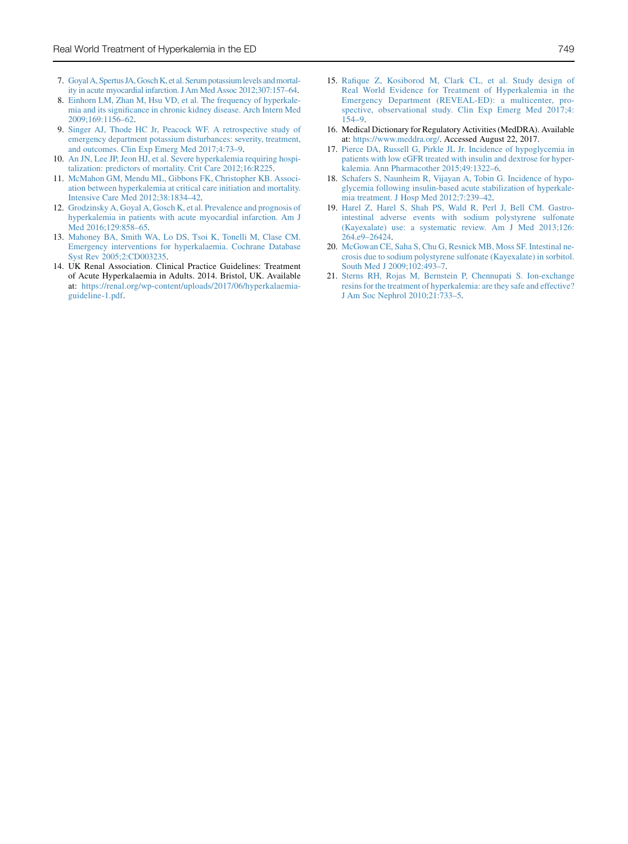- <span id="page-8-0"></span>7. Goyal A, Spertus JA, Gosch K, et al. Serum potassium levels and mortal[ity in acute myocardial infarction. J Am Med Assoc 2012;307:157–64.](http://refhub.elsevier.com/S0736-4679(18)30923-5/sref7)
- 8. [Einhorn LM, Zhan M, Hsu VD, et al. The frequency of hyperkale](http://refhub.elsevier.com/S0736-4679(18)30923-5/sref8)[mia and its significance in chronic kidney disease. Arch Intern Med](http://refhub.elsevier.com/S0736-4679(18)30923-5/sref8) [2009;169:1156–62.](http://refhub.elsevier.com/S0736-4679(18)30923-5/sref8)
- 9. [Singer AJ, Thode HC Jr, Peacock WF. A retrospective study of](http://refhub.elsevier.com/S0736-4679(18)30923-5/sref9) [emergency department potassium disturbances: severity, treatment,](http://refhub.elsevier.com/S0736-4679(18)30923-5/sref9) [and outcomes. Clin Exp Emerg Med 2017;4:73–9.](http://refhub.elsevier.com/S0736-4679(18)30923-5/sref9)
- 10. [An JN, Lee JP, Jeon HJ, et al. Severe hyperkalemia requiring hospi](http://refhub.elsevier.com/S0736-4679(18)30923-5/sref10)[talization: predictors of mortality. Crit Care 2012;16:R225](http://refhub.elsevier.com/S0736-4679(18)30923-5/sref10).
- 11. [McMahon GM, Mendu ML, Gibbons FK, Christopher KB. Associ](http://refhub.elsevier.com/S0736-4679(18)30923-5/sref11)[ation between hyperkalemia at critical care initiation and mortality.](http://refhub.elsevier.com/S0736-4679(18)30923-5/sref11) [Intensive Care Med 2012;38:1834–42](http://refhub.elsevier.com/S0736-4679(18)30923-5/sref11).
- 12. [Grodzinsky A, Goyal A, Gosch K, et al. Prevalence and prognosis of](http://refhub.elsevier.com/S0736-4679(18)30923-5/sref12) [hyperkalemia in patients with acute myocardial infarction. Am J](http://refhub.elsevier.com/S0736-4679(18)30923-5/sref12) [Med 2016;129:858–65.](http://refhub.elsevier.com/S0736-4679(18)30923-5/sref12)
- 13. [Mahoney BA, Smith WA, Lo DS, Tsoi K, Tonelli M, Clase CM.](http://refhub.elsevier.com/S0736-4679(18)30923-5/sref13) [Emergency interventions for hyperkalaemia. Cochrane Database](http://refhub.elsevier.com/S0736-4679(18)30923-5/sref13) [Syst Rev 2005;2:CD003235.](http://refhub.elsevier.com/S0736-4679(18)30923-5/sref13)
- 14. UK Renal Association. Clinical Practice Guidelines: Treatment of Acute Hyperkalaemia in Adults. 2014. Bristol, UK. Available at: [https://renal.org/wp-content/uploads/2017/06/hyperkalaemia](https://renal.org/wp-content/uploads/2017/06/hyperkalaemia-guideline-1.pdf)[guideline-1.pdf.](https://renal.org/wp-content/uploads/2017/06/hyperkalaemia-guideline-1.pdf)
- 15. [Rafique Z, Kosiborod M, Clark CL, et al. Study design of](http://refhub.elsevier.com/S0736-4679(18)30923-5/sref15) [Real World Evidence for Treatment of Hyperkalemia in the](http://refhub.elsevier.com/S0736-4679(18)30923-5/sref15) [Emergency Department \(REVEAL-ED\): a multicenter, pro](http://refhub.elsevier.com/S0736-4679(18)30923-5/sref15)[spective, observational study. Clin Exp Emerg Med 2017;4:](http://refhub.elsevier.com/S0736-4679(18)30923-5/sref15) [154–9](http://refhub.elsevier.com/S0736-4679(18)30923-5/sref15).
- 16. Medical Dictionary for Regulatory Activities (MedDRA). Available at: <https://www.meddra.org/>. Accessed August 22, 2017.
- 17. [Pierce DA, Russell G, Pirkle JL Jr. Incidence of hypoglycemia in](http://refhub.elsevier.com/S0736-4679(18)30923-5/sref17) [patients with low eGFR treated with insulin and dextrose for hyper](http://refhub.elsevier.com/S0736-4679(18)30923-5/sref17)[kalemia. Ann Pharmacother 2015;49:1322–6.](http://refhub.elsevier.com/S0736-4679(18)30923-5/sref17)
- 18. [Schafers S, Naunheim R, Vijayan A, Tobin G. Incidence of hypo](http://refhub.elsevier.com/S0736-4679(18)30923-5/sref18)[glycemia following insulin-based acute stabilization of hyperkale](http://refhub.elsevier.com/S0736-4679(18)30923-5/sref18)[mia treatment. J Hosp Med 2012;7:239–42.](http://refhub.elsevier.com/S0736-4679(18)30923-5/sref18)
- 19. [Harel Z, Harel S, Shah PS, Wald R, Perl J, Bell CM. Gastro](http://refhub.elsevier.com/S0736-4679(18)30923-5/sref19)[intestinal adverse events with sodium polystyrene sulfonate](http://refhub.elsevier.com/S0736-4679(18)30923-5/sref19) [\(Kayexalate\) use: a systematic review. Am J Med 2013;126:](http://refhub.elsevier.com/S0736-4679(18)30923-5/sref19) [264.e9–26424.](http://refhub.elsevier.com/S0736-4679(18)30923-5/sref19)
- 20. [McGowan CE, Saha S, Chu G, Resnick MB, Moss SF. Intestinal ne](http://refhub.elsevier.com/S0736-4679(18)30923-5/sref20)[crosis due to sodium polystyrene sulfonate \(Kayexalate\) in sorbitol.](http://refhub.elsevier.com/S0736-4679(18)30923-5/sref20) [South Med J 2009;102:493–7.](http://refhub.elsevier.com/S0736-4679(18)30923-5/sref20)
- 21. [Sterns RH, Rojas M, Bernstein P, Chennupati S. Ion-exchange](http://refhub.elsevier.com/S0736-4679(18)30923-5/sref21) [resins for the treatment of hyperkalemia: are they safe and effective?](http://refhub.elsevier.com/S0736-4679(18)30923-5/sref21) [J Am Soc Nephrol 2010;21:733–5](http://refhub.elsevier.com/S0736-4679(18)30923-5/sref21).